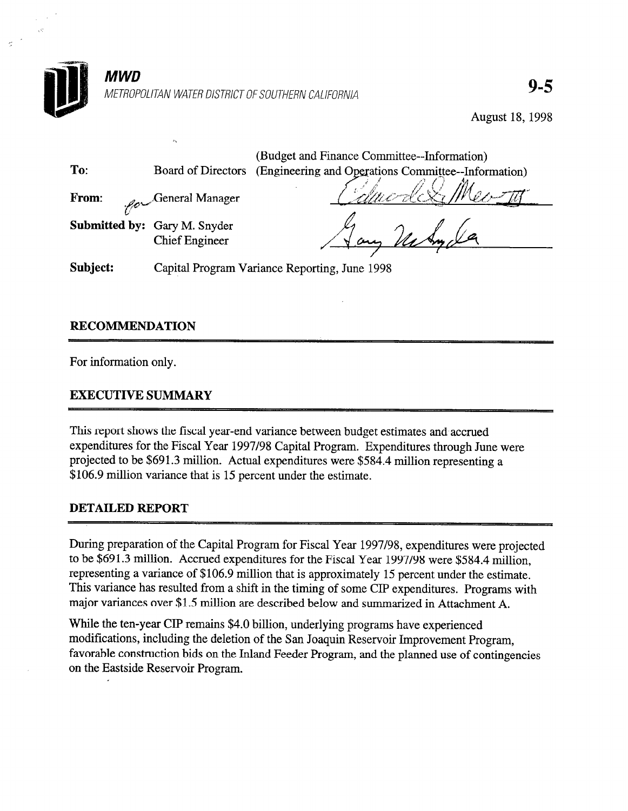

-7

August 18, 1998

|          |                                                       | (Budget and Finance Committee--Information)         |  |  |
|----------|-------------------------------------------------------|-----------------------------------------------------|--|--|
| To:      | Board of Directors                                    | (Engineering and Operations Committee--Information) |  |  |
| From:    | $\mathscr{L}_{\mathscr{O}}$ General Manager           |                                                     |  |  |
|          | Submitted by: Gary M. Snyder<br><b>Chief Engineer</b> |                                                     |  |  |
| Subject: |                                                       | Capital Program Variance Reporting, June 1998       |  |  |

# RECOMMENDATION

For information only.

# EXECUTIVE SUMMARY

This report shows the fiscal year-end variance between budget estimates and accrued expenditures for the Fiscal Year 1997/98 Capital Program. Expenditures through June were projected to be \$691.3 million. Actual expenditures were \$584.4 million representing a \$106.9 million variance that is 15 percent under the estimate.

#### DETAILED REPORT

During preparation of the Capital Program for Fiscal Year 1997/98, expenditures were projected to be \$691.3 million. Accrued expenditures for the Fiscal Year 1997/98 were \$584.4 million, representing a variance of \$106.9 million that is approximately 15 percent under the estimate. This variance has resulted from a shift in the timing of some CIP expenditures. Programs with major variances over \$1.5 million are described below and summarized in Attachment A.

While the ten-year CIP remains \$4.0 billion, underlying programs have experienced modifications, including the deletion of the San Joaquin Reservoir Improvement Program, favorable construction bids on the Inland Feeder Program, and the planned use of contingencies on the Eastside Reservoir Program.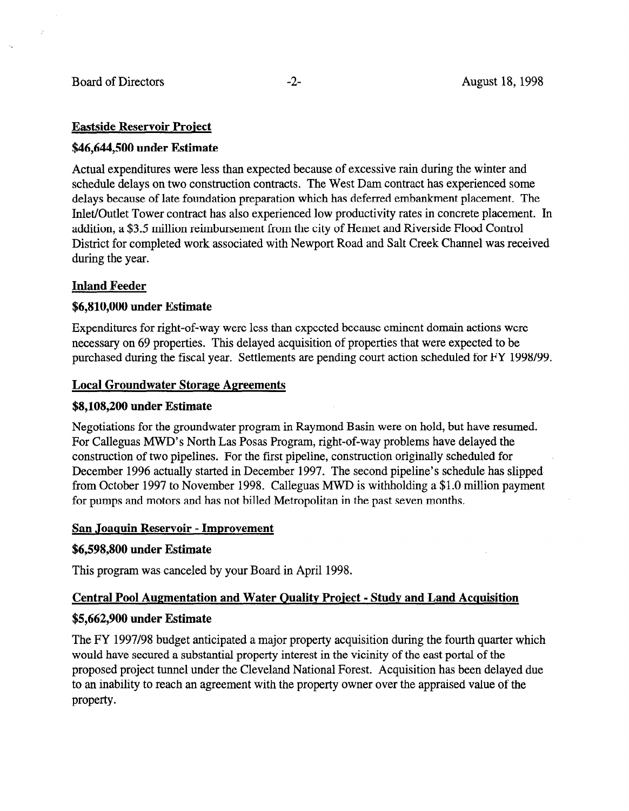# Eastside Reservoir Praiect

## \$46,644,500 under Estimate

Actual expenditures were less than expected because of excessive rain during the winter and schedule delays on two construction contracts. The West Dam contract has experienced some delays because of late foundation preparation which has deferred embankment placement. The Inlet/Outlet Tower contract has also experienced low productivity rates in concrete placement. In addition, a \$3.5 million reimbursement from the city of Hemet and Riverside Flood Control District for completed work associated with Newport Road and Salt Creek Channel was received during the year.

# Inland Feeder

# \$6,810,000 under Estimate

Expenditures for right-of-way were less than expected because eminent domain actions were necessary on 69 properties. This delayed acquisition of properties that were expected to be purchased during the fiscal year. Settlements are pending court action scheduled for FY 1998/99.

# Local Groundwater Storage Agreements

## \$8,108,200 under Estimate

Negotiations for the groundwater program in Raymond Basin were on hold, but have resumed. For Calleguard Modern Las Program, right-of-way problems were on note, our have result For Calleguas MWD's North Las Posas Program, right-of-way problems have delayed the construction of two pipelines. For the first pipeline, construction originally scheduled for December 1996 actually started in December 1997. The second pipeline's schedule has slipped from October 1997 to November 1998. Calleguas MWD is withholding a \$1.0 million payment for pumps and motors and has not billed Metropolitan in the past seven months.

# \$6,598,800 under Estimate

This program was canceled by your Board in April 1998. The second in April 1998. The second in April 1998. The

# Central Pool Augmentation and Water Quality Project - Study and Land Acquisition

# $T_{\text{SUSY}}$  by anticipation and major property and fourth quarter which fourth quarter which fourth quarter which  $T_{\text{SUSY}}$

The FY 1997/98 budget anticipated a major property acquisition during the fourth quarter which would have secured a substantial property interest in the vicinity of the east portal of the proposed project tunnel under the Cleveland National Forest. Acquisition has been delayed due to an inability to reach an agreement with the property owner over the appraised value of the property.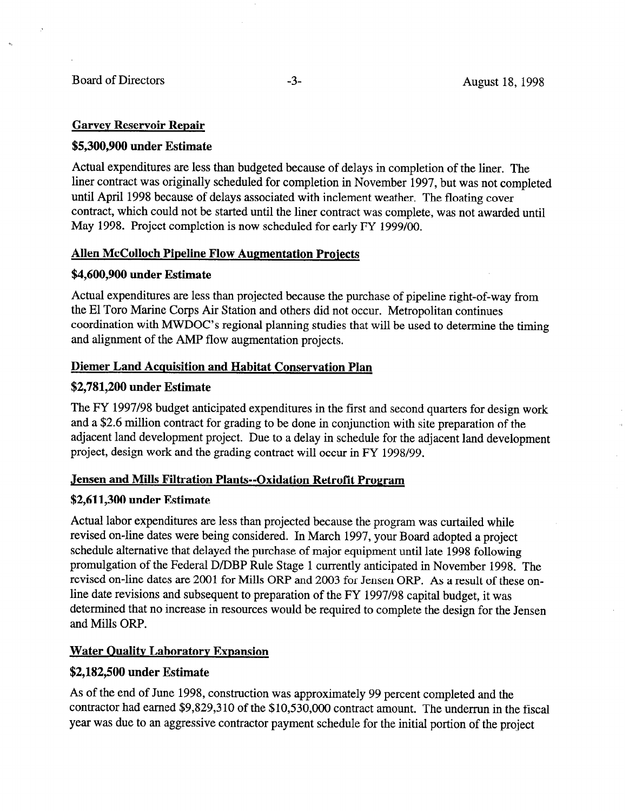#### Garvev Reservoir Repair

#### \$5,300,900 under Estimate

Actual expenditures are less than budgeted because of delays in completion of the liner. The liner contract was originally scheduled for completion in November 1997, but was not completed until April 1998 because of delays associated with inclement weather. The floating cover contract, which could not be started until the liner contract was complete, was not awarded until May 1998. Project completion is now scheduled for early FY 1999/OO.

#### Allen McColloch Pipeline Flow Augmentation Projects

#### \$4,600,900 under Estimate

Actual expenditures are less than projected because the purchase of pipeline right-of-way from the El Toro Marine Corps Air Station and others did not occur. Metropolitan continues coordination with MWDOC's regional planning studies that will be used to determine the timing and alignment of the AMP flow augmentation projects.

# Diemer Land Acquisition and Habitat Conservation Plan

#### \$2,781,200 under Estimate

The FY 1997/98 budget anticipated expenditures in the first and second quarters for design work and a \$2.6 million contract for grading to be done in conjunction with site preparation of the adjacent land development project. Due to a delay in schedule for the adjacent land development project, design work and the grading contract will occur in FY 1998/99.

#### Jensen and Mills Filtration Plants--Oxidation Retrofit Program

#### \$2,611,300 under Estimate

Actual labor expenditures are less than projected because the program was curtailed while revised on-line dates were being considered. In March 1997, your Board adopted a project schedule alternative that delayed the purchase of major equipment until late 1998 following promulgation of the Federal D/DBP Rule Stage 1 currently anticipated in November 1998. The revised on-line dates are 2001 for Mills ORP and 2003 for Jensen ORP. As a result of these online date revisions and subsequent to preparation of the FY 1997/98 capital budget, it was determined that no increase in resources would be required to complete the design for the Jensen and Mills ORP.

#### **Water Quality Laboratory Expansion**

#### \$2,182,500 under Estimate

As of the end of June 1998, construction was approximately 99 percent completed and the contractor had earned \$9,829,310 of the  $$10,530,000$  contract amount. The underrun in the fiscal year was due to an aggressive contractor payment schedule for the initial portion of the project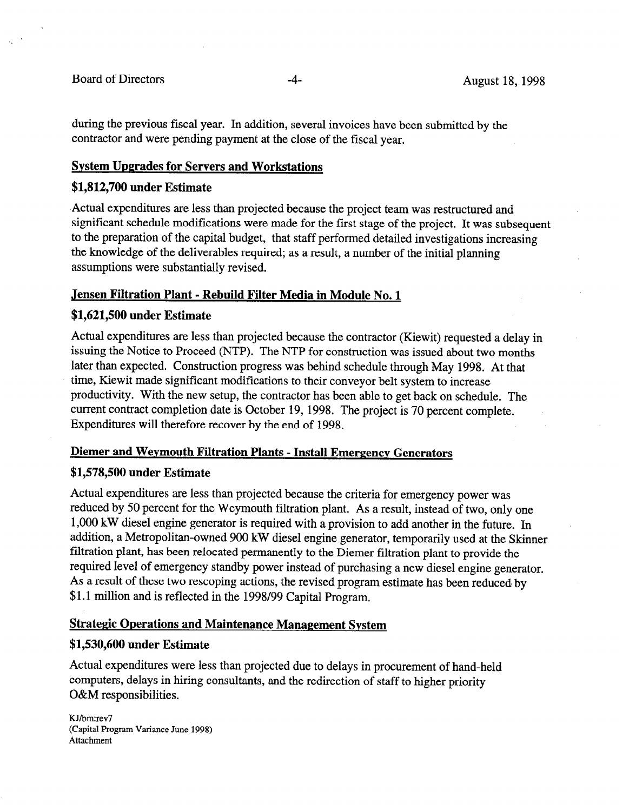during the previous fiscal year. In addition, several invoices have been submitted by the contractor and were pending payment at the close of the fiscal year.

#### Svstem Upgrades for Servers and Workstations

#### \$1,812,700 under Estimate

,Actual expenditures are less than projected because the project team was restructured and significant schedule modifications were made for the first stage of the project. It was subsequent to the preparation of the capital budget, that staff performed detailed investigations increasing the knowledge of the deliverables required; as a result, a number of the initial planning assumptions were substantially revised.

#### Jensen Filtration Plant - Rebuild Filter Media in Module No. 1

#### \$1,621,500 under Estimate

Actual expenditures are less than projected because the contractor (Kiewit) requested a delay in issuing the Notice to Proceed (NTP). The NTP for construction was issued about two months later than expected. Construction progress was behind schedule through May 1998. At that time, Kiewit made significant modifications to their conveyor belt system to increase productivity. With the new setup, the contractor has been able to get back on schedule. The current contract completion date is October 19, 1998. The project is 70 percent complete. Expenditures will therefore recover by the end of 1998.

#### Diemer and Wevmouth Filtration Plants - Install Emergency Generators

#### \$1,578,500 under Estimate

Actual expenditures are less than projected because the criteria for emergency power was reduced by 50 percent for the Weymouth filtration plant. As a result, instead of two, only one 1,000 kW diesel engine generator is required with a provision to add another in the future. In addition, a Metropolitan-owned 900 kW diesel engine generator, temporarily used at the Skinner filtration plant, has been relocated permanently to the Diemer filtration plant to provide the required level of emergency standby power instead of purchasing a new diesel engine generator. As a result of these two rescoping actions, the revised program estimate has been reduced by \$1.1 million and is reflected in the 1998/99 Capital Program.

# Strategic Operations and Maintenance Management System

#### \$1,530,600 under Estimate

Actual expenditures were less than projected due to delays in procurement of hand-held computers, delays in hiring consultants, and the redirection of staff to higher priority O&M responsibilities.

KJ/bm:rev7 (Capital Program Variance June 1998) Attachment